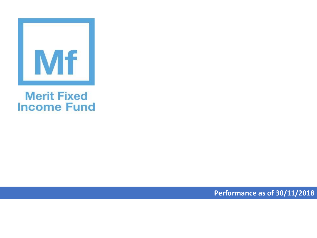

## **Merit Fixed Income Fund**

**Performance as of 30/11/2018**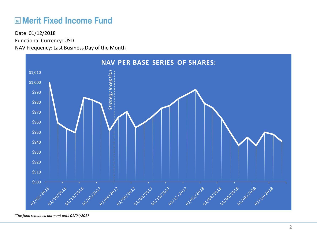## **ME Merit Fixed Income Fund**

Functional Currency: USD NAV Frequency: Last Business Day of the Month